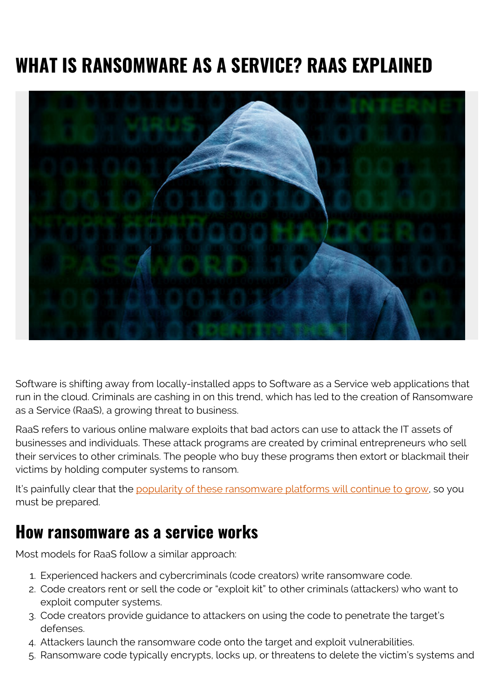# **WHAT IS RANSOMWARE AS A SERVICE? RAAS EXPLAINED**



Software is shifting away from locally-installed apps to Software as a Service web applications that run in the cloud. Criminals are cashing in on this trend, which has led to the creation of Ransomware as a Service (RaaS), a growing threat to business.

RaaS refers to various online malware exploits that bad actors can use to attack the IT assets of businesses and individuals. These attack programs are created by criminal entrepreneurs who sell their services to other criminals. The people who buy these programs then extort or blackmail their victims by holding computer systems to ransom.

It's painfully clear that the [popularity of these ransomware platforms will continue to grow,](https://blogs.bmc.com/blogs/the-future-of-ransomware/) so you must be prepared.

#### **How ransomware as a service works**

Most models for RaaS follow a similar approach:

- 1. Experienced hackers and cybercriminals (code creators) write ransomware code.
- 2. Code creators rent or sell the code or "exploit kit" to other criminals (attackers) who want to exploit computer systems.
- 3. Code creators provide guidance to attackers on using the code to penetrate the target's defenses.
- 4. Attackers launch the ransomware code onto the target and exploit vulnerabilities.
- 5. Ransomware code typically encrypts, locks up, or threatens to delete the victim's systems and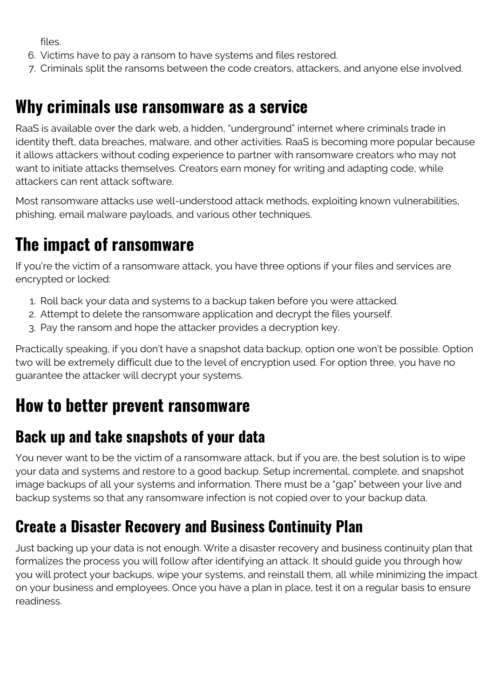files.

- 6. Victims have to pay a ransom to have systems and files restored.
- 7. Criminals split the ransoms between the code creators, attackers, and anyone else involved.

#### **Why criminals use ransomware as a service**

RaaS is available over the dark web, a hidden, "underground" internet where criminals trade in identity theft, data breaches, malware, and other activities. RaaS is becoming more popular because it allows attackers without coding experience to partner with ransomware creators who may not want to initiate attacks themselves. Creators earn money for writing and adapting code, while attackers can rent attack software.

Most ransomware attacks use well-understood attack methods, exploiting known vulnerabilities, phishing, email malware payloads, and various other techniques.

## **The impact of ransomware**

If you're the victim of a ransomware attack, you have three options if your files and services are encrypted or locked:

- 1. Roll back your data and systems to a backup taken before you were attacked.
- 2. Attempt to delete the ransomware application and decrypt the files yourself.
- 3. Pay the ransom and hope the attacker provides a decryption key.

Practically speaking, if you don't have a snapshot data backup, option one won't be possible. Option two will be extremely difficult due to the level of encryption used. For option three, you have no guarantee the attacker will decrypt your systems.

## **How to better prevent ransomware**

#### **Back up and take snapshots of your data**

You never want to be the victim of a ransomware attack, but if you are, the best solution is to wipe your data and systems and restore to a good backup. Setup incremental, complete, and snapshot image backups of all your systems and information. There must be a "gap" between your live and backup systems so that any ransomware infection is not copied over to your backup data.

#### **Create a Disaster Recovery and Business Continuity Plan**

Just backing up your data is not enough. Write a disaster recovery and business continuity plan that formalizes the process you will follow after identifying an attack. It should guide you through how you will protect your backups, wipe your systems, and reinstall them, all while minimizing the impact on your business and employees. Once you have a plan in place, test it on a regular basis to ensure readiness.